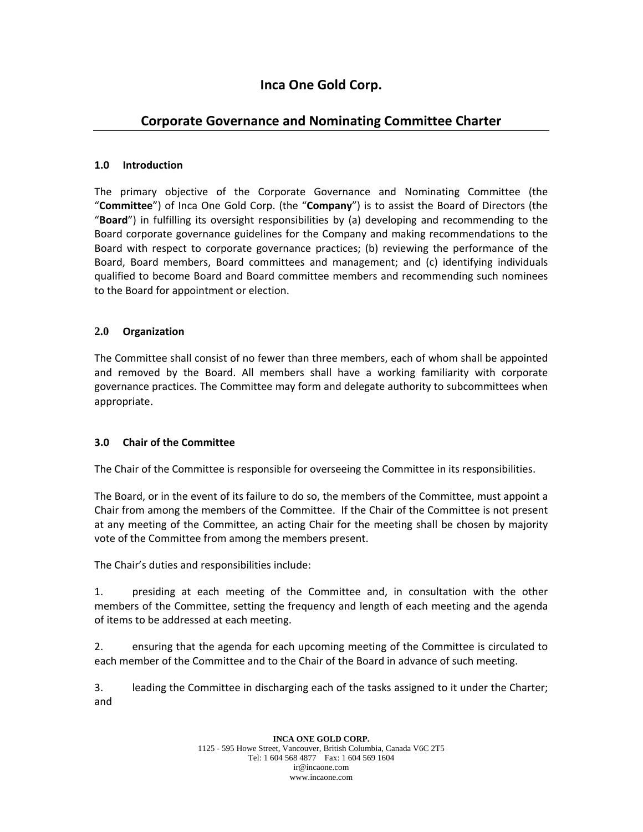# **Inca One Gold Corp.**

# **Corporate Governance and Nominating Committee Charter**

### **1.0 Introduction**

The primary objective of the Corporate Governance and Nominating Committee (the "**Committee**") of Inca One Gold Corp. (the "**Company**") is to assist the Board of Directors (the "**Board**") in fulfilling its oversight responsibilities by (a) developing and recommending to the Board corporate governance guidelines for the Company and making recommendations to the Board with respect to corporate governance practices; (b) reviewing the performance of the Board, Board members, Board committees and management; and (c) identifying individuals qualified to become Board and Board committee members and recommending such nominees to the Board for appointment or election.

### **2.0 Organization**

The Committee shall consist of no fewer than three members, each of whom shall be appointed and removed by the Board. All members shall have a working familiarity with corporate governance practices. The Committee may form and delegate authority to subcommittees when appropriate.

#### **3.0 Chair of the Committee**

The Chair of the Committee is responsible for overseeing the Committee in its responsibilities.

The Board, or in the event of its failure to do so, the members of the Committee, must appoint a Chair from among the members of the Committee. If the Chair of the Committee is not present at any meeting of the Committee, an acting Chair for the meeting shall be chosen by majority vote of the Committee from among the members present.

The Chair's duties and responsibilities include:

1. presiding at each meeting of the Committee and, in consultation with the other members of the Committee, setting the frequency and length of each meeting and the agenda of items to be addressed at each meeting.

2. ensuring that the agenda for each upcoming meeting of the Committee is circulated to each member of the Committee and to the Chair of the Board in advance of such meeting.

3. leading the Committee in discharging each of the tasks assigned to it under the Charter; and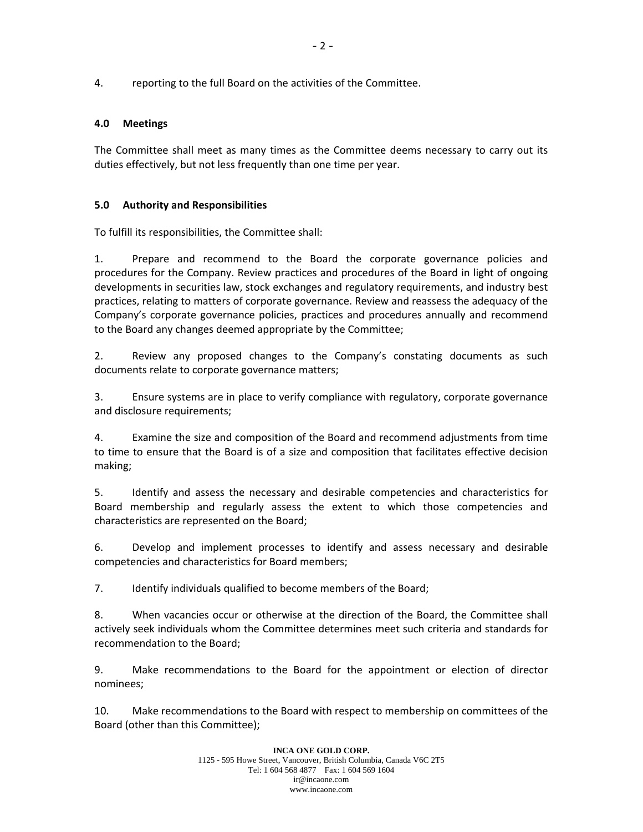4. reporting to the full Board on the activities of the Committee.

#### **4.0 Meetings**

The Committee shall meet as many times as the Committee deems necessary to carry out its duties effectively, but not less frequently than one time per year.

#### **5.0 Authority and Responsibilities**

To fulfill its responsibilities, the Committee shall:

1. Prepare and recommend to the Board the corporate governance policies and procedures for the Company. Review practices and procedures of the Board in light of ongoing developments in securities law, stock exchanges and regulatory requirements, and industry best practices, relating to matters of corporate governance. Review and reassess the adequacy of the Company's corporate governance policies, practices and procedures annually and recommend to the Board any changes deemed appropriate by the Committee;

2. Review any proposed changes to the Company's constating documents as such documents relate to corporate governance matters;

3. Ensure systems are in place to verify compliance with regulatory, corporate governance and disclosure requirements;

4. Examine the size and composition of the Board and recommend adjustments from time to time to ensure that the Board is of a size and composition that facilitates effective decision making;

5. Identify and assess the necessary and desirable competencies and characteristics for Board membership and regularly assess the extent to which those competencies and characteristics are represented on the Board;

6. Develop and implement processes to identify and assess necessary and desirable competencies and characteristics for Board members;

7. Identify individuals qualified to become members of the Board;

8. When vacancies occur or otherwise at the direction of the Board, the Committee shall actively seek individuals whom the Committee determines meet such criteria and standards for recommendation to the Board;

9. Make recommendations to the Board for the appointment or election of director nominees;

10. Make recommendations to the Board with respect to membership on committees of the Board (other than this Committee);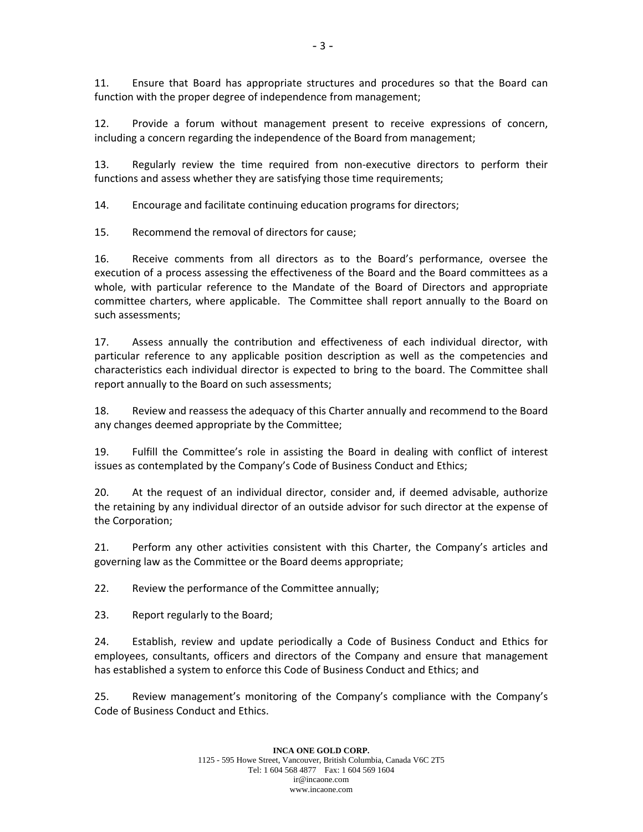11. Ensure that Board has appropriate structures and procedures so that the Board can function with the proper degree of independence from management;

12. Provide a forum without management present to receive expressions of concern, including a concern regarding the independence of the Board from management;

13. Regularly review the time required from non-executive directors to perform their functions and assess whether they are satisfying those time requirements;

14. Encourage and facilitate continuing education programs for directors;

15. Recommend the removal of directors for cause;

16. Receive comments from all directors as to the Board's performance, oversee the execution of a process assessing the effectiveness of the Board and the Board committees as a whole, with particular reference to the Mandate of the Board of Directors and appropriate committee charters, where applicable. The Committee shall report annually to the Board on such assessments;

17. Assess annually the contribution and effectiveness of each individual director, with particular reference to any applicable position description as well as the competencies and characteristics each individual director is expected to bring to the board. The Committee shall report annually to the Board on such assessments;

18. Review and reassess the adequacy of this Charter annually and recommend to the Board any changes deemed appropriate by the Committee;

19. Fulfill the Committee's role in assisting the Board in dealing with conflict of interest issues as contemplated by the Company's Code of Business Conduct and Ethics;

20. At the request of an individual director, consider and, if deemed advisable, authorize the retaining by any individual director of an outside advisor for such director at the expense of the Corporation;

21. Perform any other activities consistent with this Charter, the Company's articles and governing law as the Committee or the Board deems appropriate;

22. Review the performance of the Committee annually;

23. Report regularly to the Board;

24. Establish, review and update periodically a Code of Business Conduct and Ethics for employees, consultants, officers and directors of the Company and ensure that management has established a system to enforce this Code of Business Conduct and Ethics; and

25. Review management's monitoring of the Company's compliance with the Company's Code of Business Conduct and Ethics.